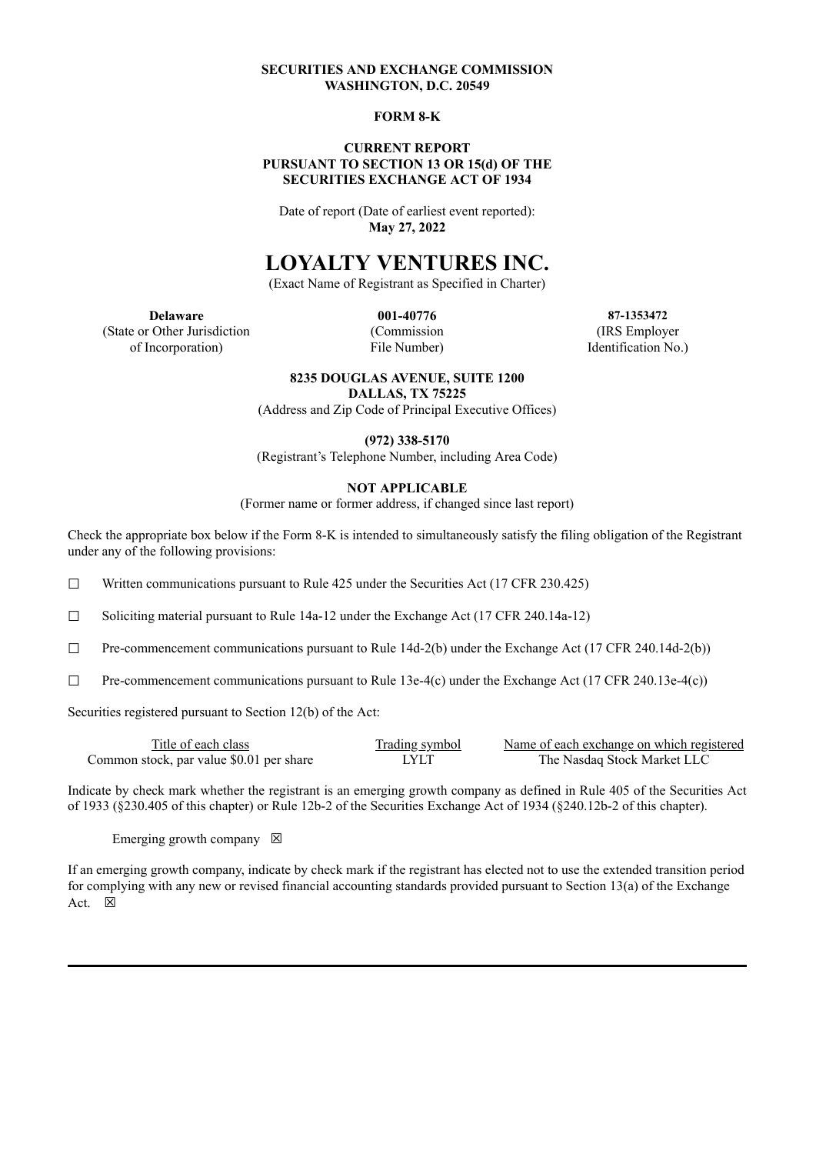## **SECURITIES AND EXCHANGE COMMISSION WASHINGTON, D.C. 20549**

#### **FORM 8-K**

#### **CURRENT REPORT PURSUANT TO SECTION 13 OR 15(d) OF THE SECURITIES EXCHANGE ACT OF 1934**

Date of report (Date of earliest event reported): **May 27, 2022**

# **LOYALTY VENTURES INC.**

(Exact Name of Registrant as Specified in Charter)

(State or Other Jurisdiction (Commission (IRS Employer of Incorporation) File Number) Identification No.)

**Delaware 001-40776 87-1353472**

#### **8235 DOUGLAS AVENUE, SUITE 1200**

**DALLAS, TX 75225**

(Address and Zip Code of Principal Executive Offices)

**(972) 338-5170**

(Registrant's Telephone Number, including Area Code)

### **NOT APPLICABLE**

(Former name or former address, if changed since last report)

Check the appropriate box below if the Form 8-K is intended to simultaneously satisfy the filing obligation of the Registrant under any of the following provisions:

□ Written communications pursuant to Rule  $425$  under the Securities Act (17 CFR 230.425)

☐ Soliciting material pursuant to Rule 14a-12 under the Exchange Act (17 CFR 240.14a-12)

 $\Box$  Pre-commencement communications pursuant to Rule 14d-2(b) under the Exchange Act (17 CFR 240.14d-2(b))

 $\Box$  Pre-commencement communications pursuant to Rule 13e-4(c) under the Exchange Act (17 CFR 240.13e-4(c))

Securities registered pursuant to Section 12(b) of the Act:

| Title of each class                      | <b>Trading symbol</b> | Name of each exchange on which registered |
|------------------------------------------|-----------------------|-------------------------------------------|
| Common stock, par value \$0.01 per share | LYLT                  | The Nasdag Stock Market LLC               |

Indicate by check mark whether the registrant is an emerging growth company as defined in Rule 405 of the Securities Act of 1933 (§230.405 of this chapter) or Rule 12b-2 of the Securities Exchange Act of 1934 (§240.12b-2 of this chapter).

Emerging growth company  $\boxtimes$ 

If an emerging growth company, indicate by check mark if the registrant has elected not to use the extended transition period for complying with any new or revised financial accounting standards provided pursuant to Section 13(a) of the Exchange Act.  $\boxtimes$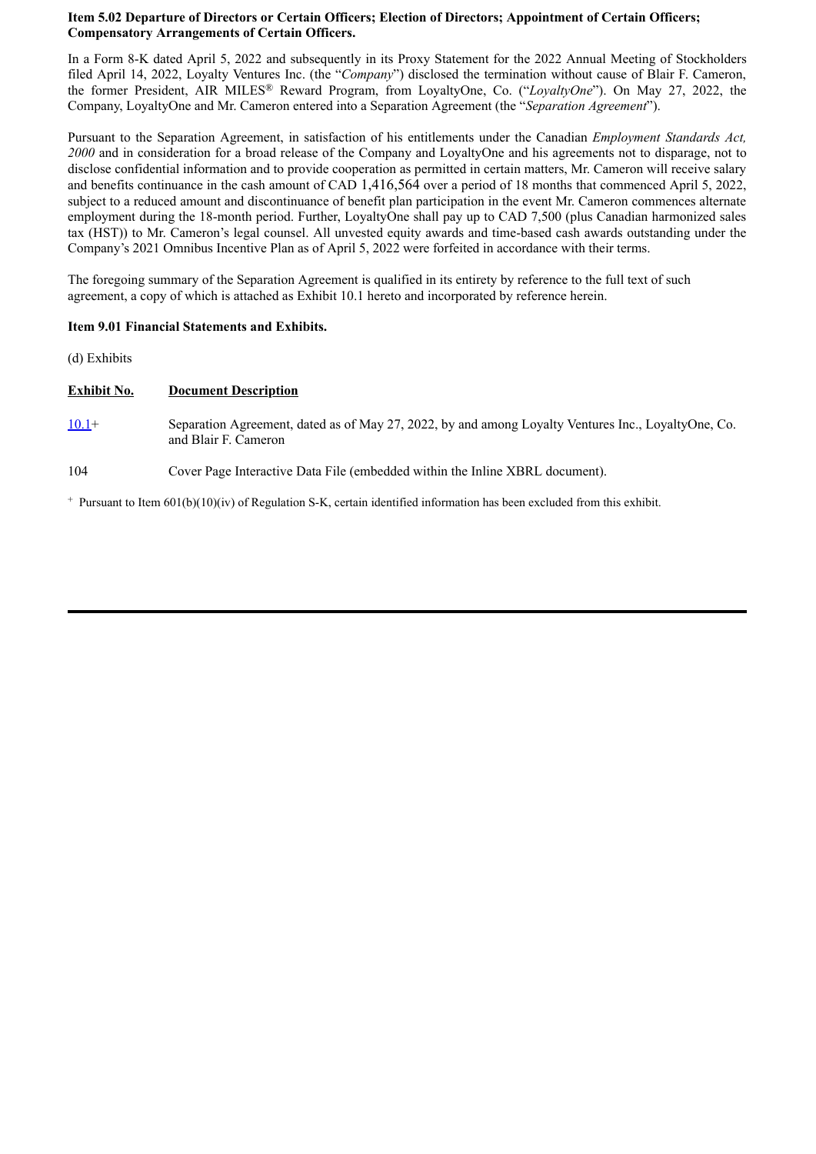## **Item 5.02 Departure of Directors or Certain Officers; Election of Directors; Appointment of Certain Officers; Compensatory Arrangements of Certain Officers.**

In a Form 8-K dated April 5, 2022 and subsequently in its Proxy Statement for the 2022 Annual Meeting of Stockholders filed April 14, 2022, Loyalty Ventures Inc. (the "*Company*") disclosed the termination without cause of Blair F. Cameron, the former President, AIR MILES® Reward Program, from LoyaltyOne, Co. ("*LoyaltyOne*"). On May 27, 2022, the Company, LoyaltyOne and Mr. Cameron entered into a Separation Agreement (the "*Separation Agreement*").

Pursuant to the Separation Agreement, in satisfaction of his entitlements under the Canadian *Employment Standards Act, 2000* and in consideration for a broad release of the Company and LoyaltyOne and his agreements not to disparage, not to disclose confidential information and to provide cooperation as permitted in certain matters, Mr. Cameron will receive salary and benefits continuance in the cash amount of CAD 1,416,564 over a period of 18 months that commenced April 5, 2022, subject to a reduced amount and discontinuance of benefit plan participation in the event Mr. Cameron commences alternate employment during the 18-month period. Further, LoyaltyOne shall pay up to CAD 7,500 (plus Canadian harmonized sales tax (HST)) to Mr. Cameron's legal counsel. All unvested equity awards and time-based cash awards outstanding under the Company's 2021 Omnibus Incentive Plan as of April 5, 2022 were forfeited in accordance with their terms.

The foregoing summary of the Separation Agreement is qualified in its entirety by reference to the full text of such agreement, a copy of which is attached as Exhibit 10.1 hereto and incorporated by reference herein.

### **Item 9.01 Financial Statements and Exhibits.**

(d) Exhibits

#### **Exhibit No. Document Description**

- [10.1+](#page-3-0) Separation Agreement, dated as of May 27, 2022, by and among Loyalty Ventures Inc., LoyaltyOne, Co. and Blair F. Cameron
- 104 Cover Page Interactive Data File (embedded within the Inline XBRL document).

 $+$  Pursuant to Item 601(b)(10)(iv) of Regulation S-K, certain identified information has been excluded from this exhibit.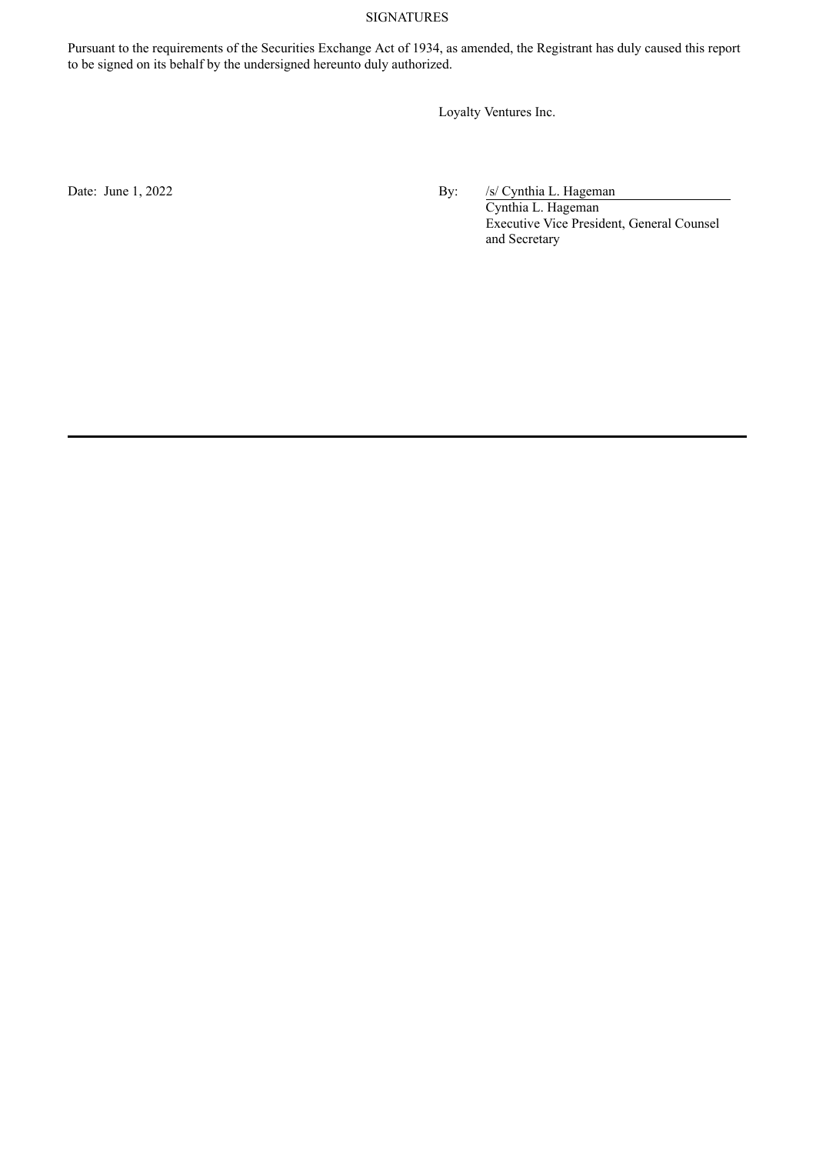## SIGNATURES

Pursuant to the requirements of the Securities Exchange Act of 1934, as amended, the Registrant has duly caused this report to be signed on its behalf by the undersigned hereunto duly authorized.

Loyalty Ventures Inc.

Date: June 1, 2022 By: /s/ Cynthia L. Hageman

Cynthia L. Hageman Executive Vice President, General Counsel and Secretary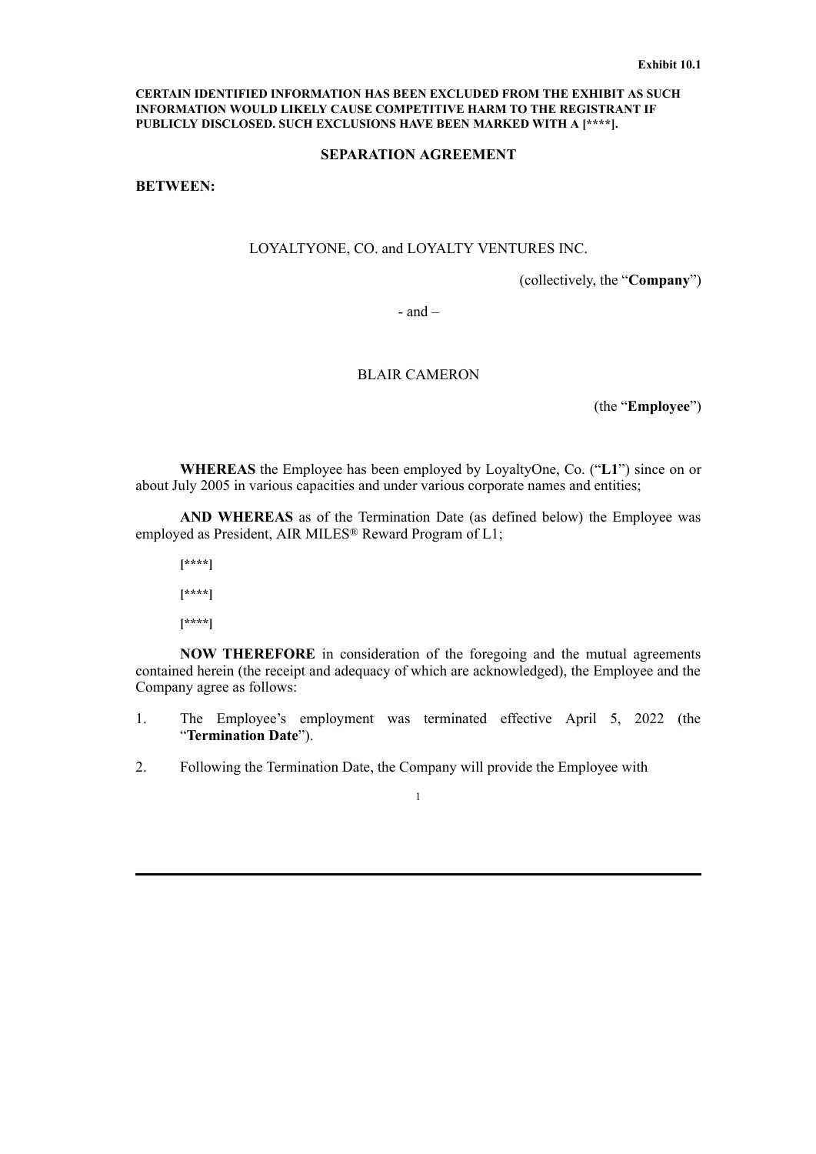#### <span id="page-3-0"></span>**CERTAIN IDENTIFIED INFORMATION HAS BEEN EXCLUDED FROM THE EXHIBIT AS SUCH INFORMATION WOULD LIKELY CAUSE COMPETITIVE HARM TO THE REGISTRANT IF PUBLICLY DISCLOSED. SUCH EXCLUSIONS HAVE BEEN MARKED WITH A [\*\*\*\*].**

#### **SEPARATION AGREEMENT**

**BETWEEN:**

## LOYALTYONE, CO. and LOYALTY VENTURES INC.

(collectively, the "**Company**")

 $-$  and  $-$ 

## BLAIR CAMERON

(the "**Employee**")

**WHEREAS** the Employee has been employed by LoyaltyOne, Co. ("**L1**") since on or about July 2005 in various capacities and under various corporate names and entities;

**AND WHEREAS** as of the Termination Date (as defined below) the Employee was employed as President, AIR MILES® Reward Program of L1;

**[\*\*\*\*]**

**[\*\*\*\*]**

**[\*\*\*\*]**

**NOW THEREFORE** in consideration of the foregoing and the mutual agreements contained herein (the receipt and adequacy of which are acknowledged), the Employee and the Company agree as follows:

- 1. The Employee's employment was terminated effective April 5, 2022 (the "**Termination Date**").
- 2. Following the Termination Date, the Company will provide the Employee with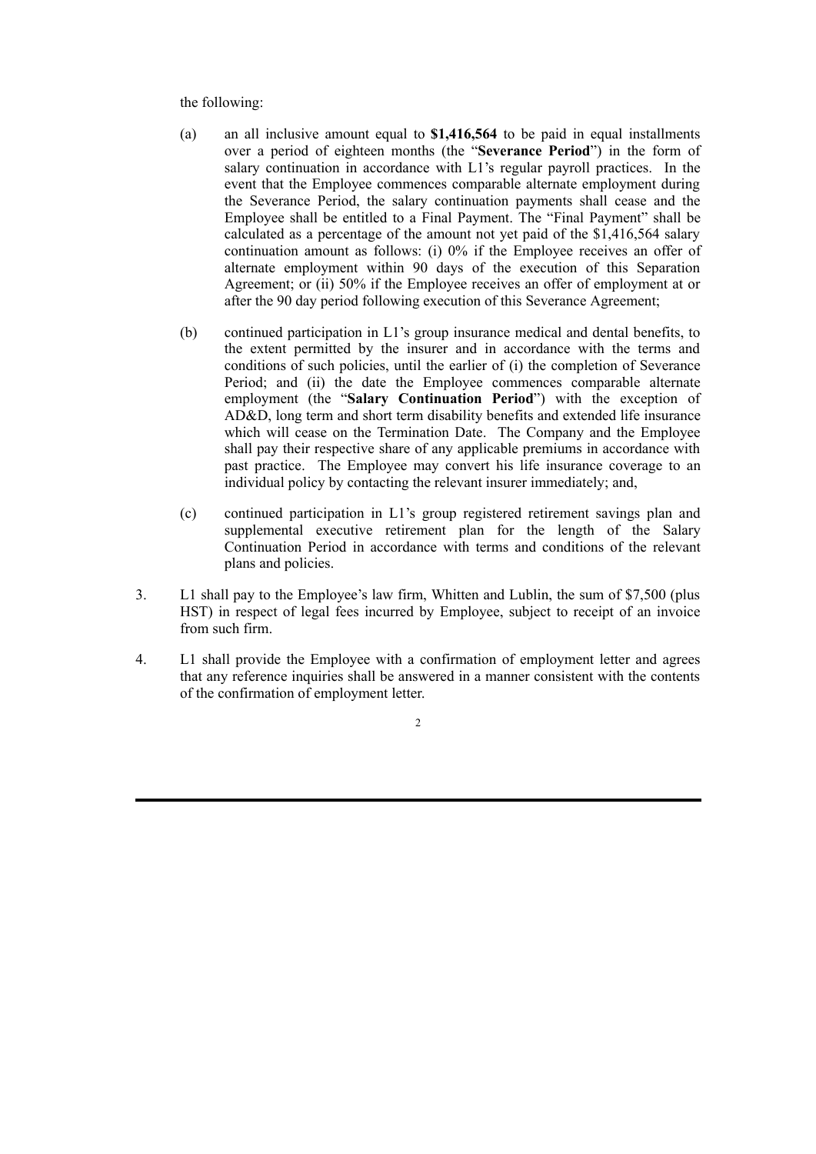the following:

- (a) an all inclusive amount equal to **\$1,416,564** to be paid in equal installments over a period of eighteen months (the "**Severance Period**") in the form of salary continuation in accordance with L1's regular payroll practices. In the event that the Employee commences comparable alternate employment during the Severance Period, the salary continuation payments shall cease and the Employee shall be entitled to a Final Payment. The "Final Payment" shall be calculated as a percentage of the amount not yet paid of the \$1,416,564 salary continuation amount as follows: (i) 0% if the Employee receives an offer of alternate employment within 90 days of the execution of this Separation Agreement; or (ii) 50% if the Employee receives an offer of employment at or after the 90 day period following execution of this Severance Agreement;
- (b) continued participation in L1's group insurance medical and dental benefits, to the extent permitted by the insurer and in accordance with the terms and conditions of such policies, until the earlier of (i) the completion of Severance Period; and (ii) the date the Employee commences comparable alternate employment (the "**Salary Continuation Period**") with the exception of AD&D, long term and short term disability benefits and extended life insurance which will cease on the Termination Date. The Company and the Employee shall pay their respective share of any applicable premiums in accordance with past practice. The Employee may convert his life insurance coverage to an individual policy by contacting the relevant insurer immediately; and,
- (c) continued participation in L1's group registered retirement savings plan and supplemental executive retirement plan for the length of the Salary Continuation Period in accordance with terms and conditions of the relevant plans and policies.
- 3. L1 shall pay to the Employee's law firm, Whitten and Lublin, the sum of \$7,500 (plus HST) in respect of legal fees incurred by Employee, subject to receipt of an invoice from such firm.
- 4. L1 shall provide the Employee with a confirmation of employment letter and agrees that any reference inquiries shall be answered in a manner consistent with the contents of the confirmation of employment letter.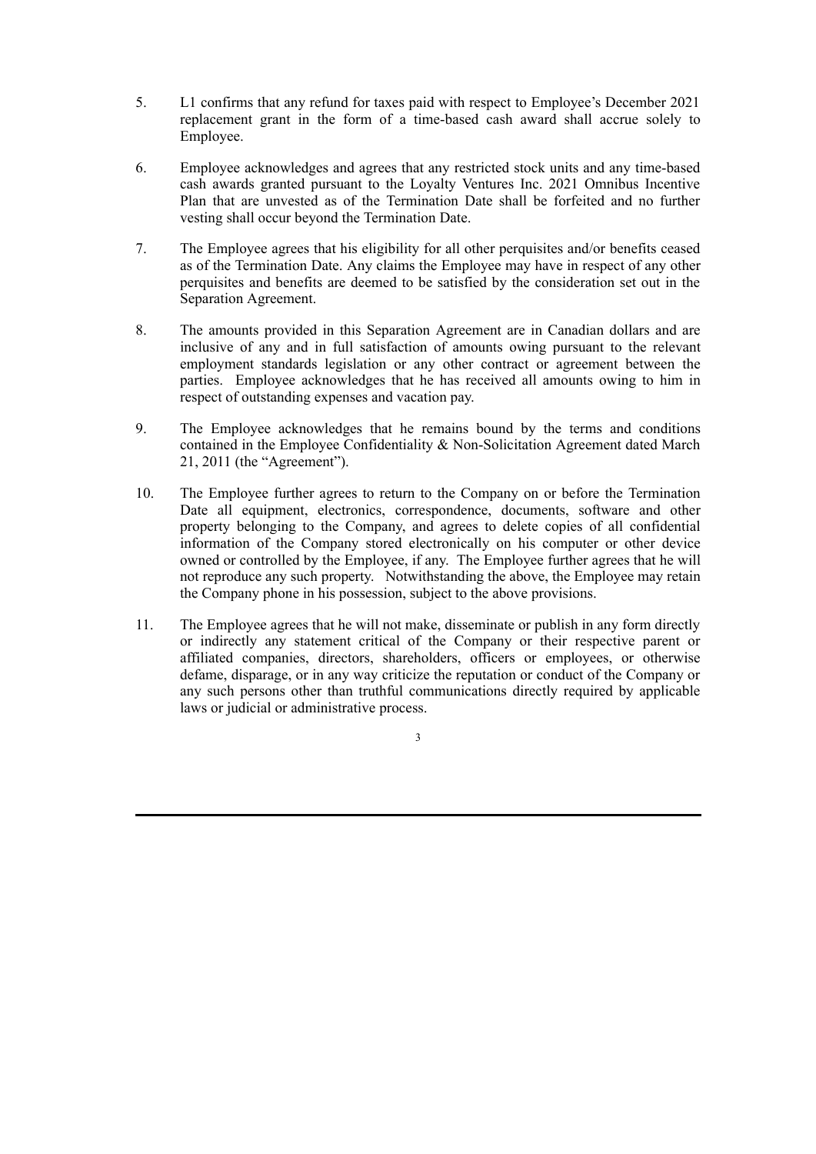- 5. L1 confirms that any refund for taxes paid with respect to Employee's December 2021 replacement grant in the form of a time-based cash award shall accrue solely to Employee.
- 6. Employee acknowledges and agrees that any restricted stock units and any time-based cash awards granted pursuant to the Loyalty Ventures Inc. 2021 Omnibus Incentive Plan that are unvested as of the Termination Date shall be forfeited and no further vesting shall occur beyond the Termination Date.
- 7. The Employee agrees that his eligibility for all other perquisites and/or benefits ceased as of the Termination Date. Any claims the Employee may have in respect of any other perquisites and benefits are deemed to be satisfied by the consideration set out in the Separation Agreement.
- 8. The amounts provided in this Separation Agreement are in Canadian dollars and are inclusive of any and in full satisfaction of amounts owing pursuant to the relevant employment standards legislation or any other contract or agreement between the parties. Employee acknowledges that he has received all amounts owing to him in respect of outstanding expenses and vacation pay.
- 9. The Employee acknowledges that he remains bound by the terms and conditions contained in the Employee Confidentiality & Non-Solicitation Agreement dated March 21, 2011 (the "Agreement").
- 10. The Employee further agrees to return to the Company on or before the Termination Date all equipment, electronics, correspondence, documents, software and other property belonging to the Company, and agrees to delete copies of all confidential information of the Company stored electronically on his computer or other device owned or controlled by the Employee, if any. The Employee further agrees that he will not reproduce any such property. Notwithstanding the above, the Employee may retain the Company phone in his possession, subject to the above provisions.
- 11. The Employee agrees that he will not make, disseminate or publish in any form directly or indirectly any statement critical of the Company or their respective parent or affiliated companies, directors, shareholders, officers or employees, or otherwise defame, disparage, or in any way criticize the reputation or conduct of the Company or any such persons other than truthful communications directly required by applicable laws or judicial or administrative process.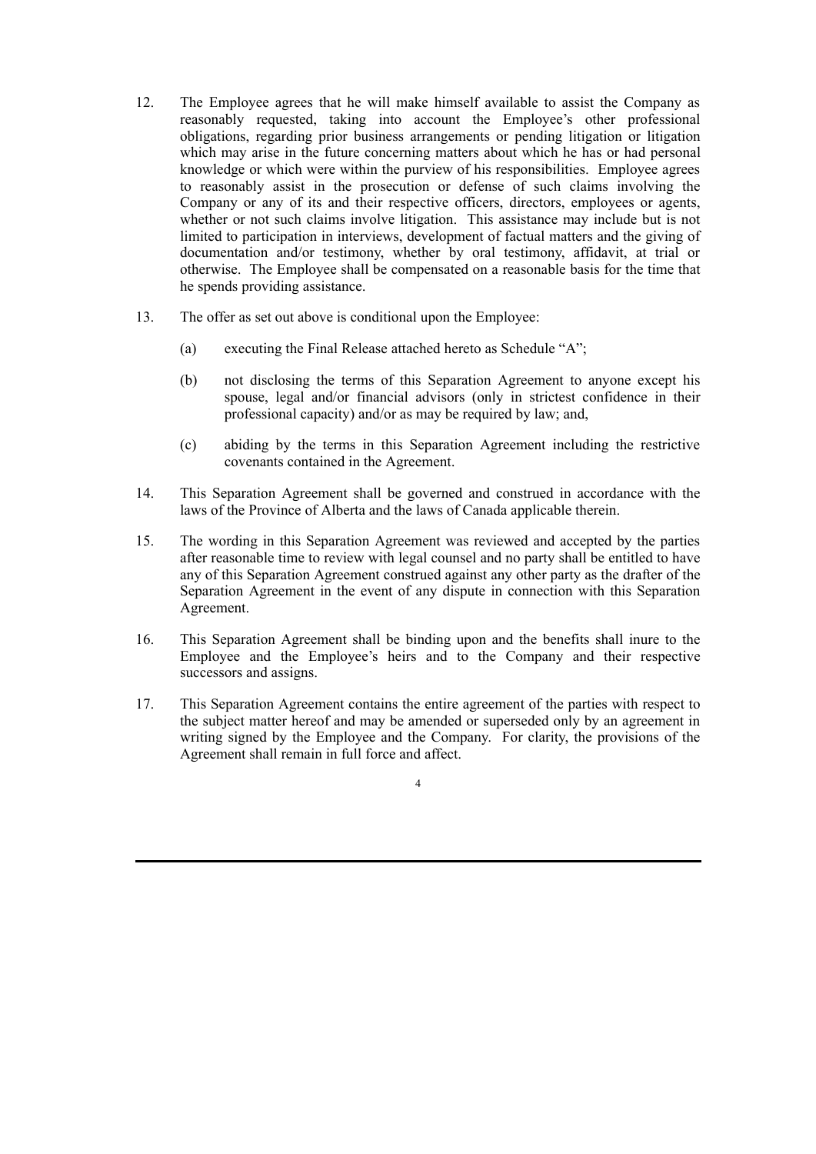- 12. The Employee agrees that he will make himself available to assist the Company as reasonably requested, taking into account the Employee's other professional obligations, regarding prior business arrangements or pending litigation or litigation which may arise in the future concerning matters about which he has or had personal knowledge or which were within the purview of his responsibilities. Employee agrees to reasonably assist in the prosecution or defense of such claims involving the Company or any of its and their respective officers, directors, employees or agents, whether or not such claims involve litigation. This assistance may include but is not limited to participation in interviews, development of factual matters and the giving of documentation and/or testimony, whether by oral testimony, affidavit, at trial or otherwise. The Employee shall be compensated on a reasonable basis for the time that he spends providing assistance.
- 13. The offer as set out above is conditional upon the Employee:
	- (a) executing the Final Release attached hereto as Schedule "A";
	- (b) not disclosing the terms of this Separation Agreement to anyone except his spouse, legal and/or financial advisors (only in strictest confidence in their professional capacity) and/or as may be required by law; and,
	- (c) abiding by the terms in this Separation Agreement including the restrictive covenants contained in the Agreement.
- 14. This Separation Agreement shall be governed and construed in accordance with the laws of the Province of Alberta and the laws of Canada applicable therein.
- 15. The wording in this Separation Agreement was reviewed and accepted by the parties after reasonable time to review with legal counsel and no party shall be entitled to have any of this Separation Agreement construed against any other party as the drafter of the Separation Agreement in the event of any dispute in connection with this Separation Agreement.
- 16. This Separation Agreement shall be binding upon and the benefits shall inure to the Employee and the Employee's heirs and to the Company and their respective successors and assigns.
- 17. This Separation Agreement contains the entire agreement of the parties with respect to the subject matter hereof and may be amended or superseded only by an agreement in writing signed by the Employee and the Company. For clarity, the provisions of the Agreement shall remain in full force and affect.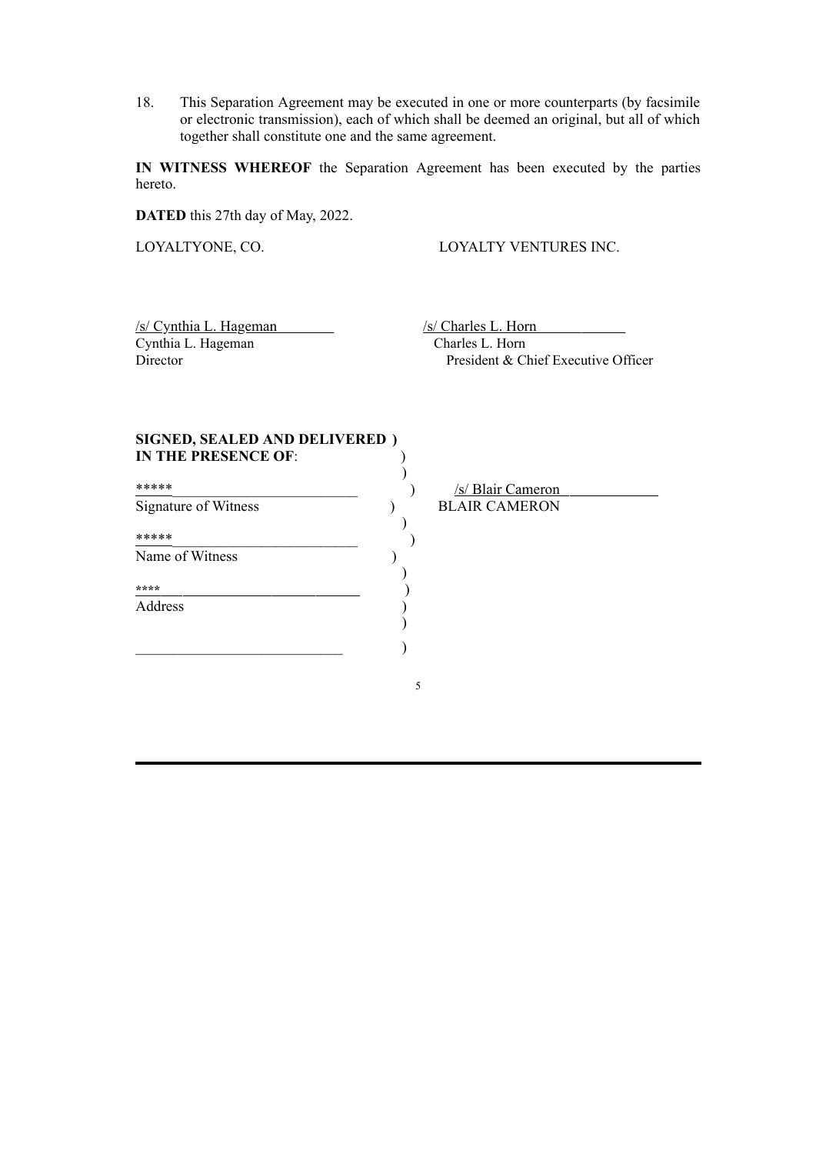18. This Separation Agreement may be executed in one or more counterparts (by facsimile or electronic transmission), each of which shall be deemed an original, but all of which together shall constitute one and the same agreement.

**IN WITNESS WHEREOF** the Separation Agreement has been executed by the parties hereto.

**DATED** this 27th day of May, 2022.

LOYALTYONE, CO. LOYALTY VENTURES INC.

/s/ Cynthia L. Hageman /s/ Charles L. Horn Cynthia L. Hageman Charles L. Horn<br>Director President & Cl

President & Chief Executive Officer

| SIGNED, SEALED AND DELIVERED)<br><b>IN THE PRESENCE OF:</b> |   |                      |
|-------------------------------------------------------------|---|----------------------|
| *****                                                       |   | /s/ Blair Cameron    |
| Signature of Witness                                        |   | <b>BLAIR CAMERON</b> |
| *****                                                       |   |                      |
| Name of Witness                                             |   |                      |
| ****                                                        |   |                      |
| Address                                                     |   |                      |
|                                                             |   |                      |
|                                                             |   |                      |
|                                                             | 5 |                      |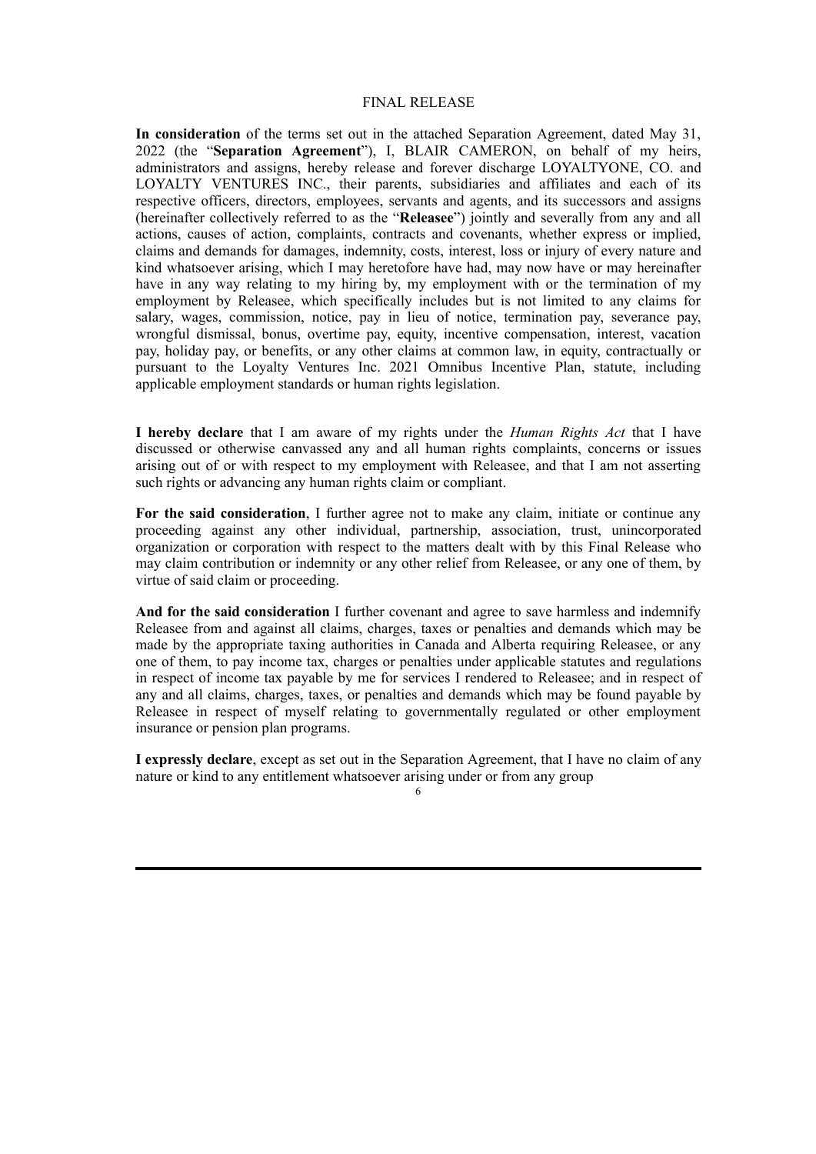#### FINAL RELEASE

**In consideration** of the terms set out in the attached Separation Agreement, dated May 31, 2022 (the "**Separation Agreement**"), I, BLAIR CAMERON, on behalf of my heirs, administrators and assigns, hereby release and forever discharge LOYALTYONE, CO. and LOYALTY VENTURES INC., their parents, subsidiaries and affiliates and each of its respective officers, directors, employees, servants and agents, and its successors and assigns (hereinafter collectively referred to as the "**Releasee**") jointly and severally from any and all actions, causes of action, complaints, contracts and covenants, whether express or implied, claims and demands for damages, indemnity, costs, interest, loss or injury of every nature and kind whatsoever arising, which I may heretofore have had, may now have or may hereinafter have in any way relating to my hiring by, my employment with or the termination of my employment by Releasee, which specifically includes but is not limited to any claims for salary, wages, commission, notice, pay in lieu of notice, termination pay, severance pay, wrongful dismissal, bonus, overtime pay, equity, incentive compensation, interest, vacation pay, holiday pay, or benefits, or any other claims at common law, in equity, contractually or pursuant to the Loyalty Ventures Inc. 2021 Omnibus Incentive Plan, statute, including applicable employment standards or human rights legislation.

**I hereby declare** that I am aware of my rights under the *Human Rights Act* that I have discussed or otherwise canvassed any and all human rights complaints, concerns or issues arising out of or with respect to my employment with Releasee, and that I am not asserting such rights or advancing any human rights claim or compliant.

**For the said consideration**, I further agree not to make any claim, initiate or continue any proceeding against any other individual, partnership, association, trust, unincorporated organization or corporation with respect to the matters dealt with by this Final Release who may claim contribution or indemnity or any other relief from Releasee, or any one of them, by virtue of said claim or proceeding.

**And for the said consideration** I further covenant and agree to save harmless and indemnify Releasee from and against all claims, charges, taxes or penalties and demands which may be made by the appropriate taxing authorities in Canada and Alberta requiring Releasee, or any one of them, to pay income tax, charges or penalties under applicable statutes and regulations in respect of income tax payable by me for services I rendered to Releasee; and in respect of any and all claims, charges, taxes, or penalties and demands which may be found payable by Releasee in respect of myself relating to governmentally regulated or other employment insurance or pension plan programs.

**I expressly declare**, except as set out in the Separation Agreement, that I have no claim of any nature or kind to any entitlement whatsoever arising under or from any group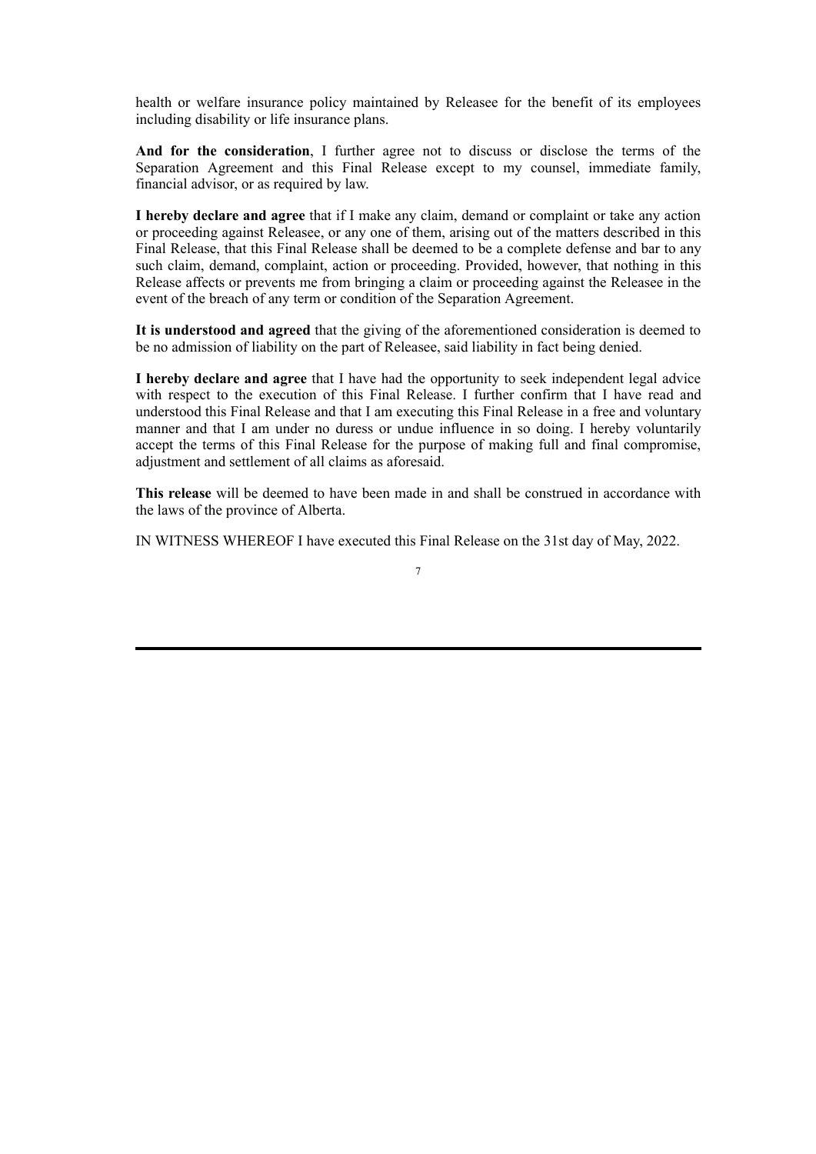health or welfare insurance policy maintained by Releasee for the benefit of its employees including disability or life insurance plans.

**And for the consideration**, I further agree not to discuss or disclose the terms of the Separation Agreement and this Final Release except to my counsel, immediate family, financial advisor, or as required by law.

**I hereby declare and agree** that if I make any claim, demand or complaint or take any action or proceeding against Releasee, or any one of them, arising out of the matters described in this Final Release, that this Final Release shall be deemed to be a complete defense and bar to any such claim, demand, complaint, action or proceeding. Provided, however, that nothing in this Release affects or prevents me from bringing a claim or proceeding against the Releasee in the event of the breach of any term or condition of the Separation Agreement.

**It is understood and agreed** that the giving of the aforementioned consideration is deemed to be no admission of liability on the part of Releasee, said liability in fact being denied.

**I hereby declare and agree** that I have had the opportunity to seek independent legal advice with respect to the execution of this Final Release. I further confirm that I have read and understood this Final Release and that I am executing this Final Release in a free and voluntary manner and that I am under no duress or undue influence in so doing. I hereby voluntarily accept the terms of this Final Release for the purpose of making full and final compromise, adjustment and settlement of all claims as aforesaid.

**This release** will be deemed to have been made in and shall be construed in accordance with the laws of the province of Alberta.

IN WITNESS WHEREOF I have executed this Final Release on the 31st day of May, 2022.